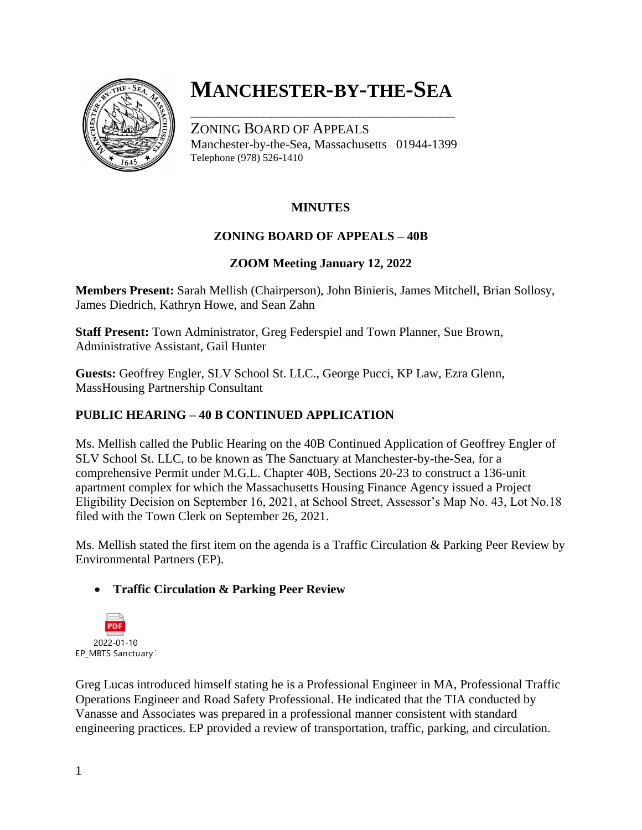

# **MANCHESTER-BY-THE-SEA**

\_\_\_\_\_\_\_\_\_\_\_\_\_\_\_\_\_\_\_\_\_\_\_\_\_\_\_\_\_\_\_\_\_\_\_\_

ZONING BOARD OF APPEALS Manchester-by-the-Sea, Massachusetts 01944-1399 Telephone (978) 526-1410

## **MINUTES**

### **ZONING BOARD OF APPEALS – 40B**

#### **ZOOM Meeting January 12, 2022**

**Members Present:** Sarah Mellish (Chairperson), John Binieris, James Mitchell, Brian Sollosy, James Diedrich, Kathryn Howe, and Sean Zahn

**Staff Present:** Town Administrator, Greg Federspiel and Town Planner, Sue Brown, Administrative Assistant, Gail Hunter

**Guests:** Geoffrey Engler, SLV School St. LLC., George Pucci, KP Law, Ezra Glenn, MassHousing Partnership Consultant

### **PUBLIC HEARING – 40 B CONTINUED APPLICATION**

Ms. Mellish called the Public Hearing on the 40B Continued Application of Geoffrey Engler of SLV School St. LLC, to be known as The Sanctuary at Manchester-by-the-Sea, for a comprehensive Permit under M.G.L. Chapter 40B, Sections 20-23 to construct a 136-unit apartment complex for which the Massachusetts Housing Finance Agency issued a Project Eligibility Decision on September 16, 2021, at School Street, Assessor's Map No. 43, Lot No.18 filed with the Town Clerk on September 26, 2021.

Ms. Mellish stated the first item on the agenda is a Traffic Circulation & Parking Peer Review by Environmental Partners (EP).

#### • **Traffic Circulation & Parking Peer Review**



Greg Lucas introduced himself stating he is a Professional Engineer in MA, Professional Traffic Operations Engineer and Road Safety Professional. He indicated that the TIA conducted by Vanasse and Associates was prepared in a professional manner consistent with standard engineering practices. EP provided a review of transportation, traffic, parking, and circulation.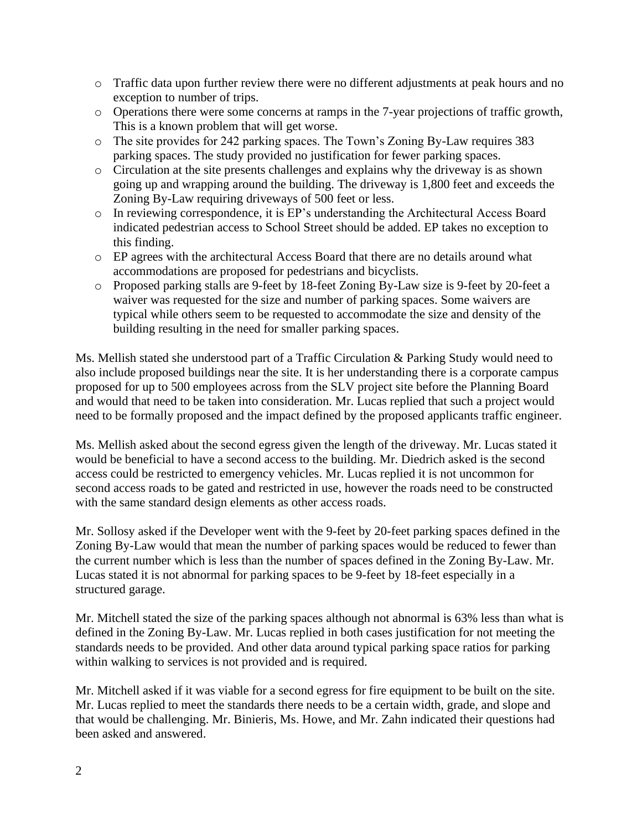- o Traffic data upon further review there were no different adjustments at peak hours and no exception to number of trips.
- o Operations there were some concerns at ramps in the 7-year projections of traffic growth, This is a known problem that will get worse.
- o The site provides for 242 parking spaces. The Town's Zoning By-Law requires 383 parking spaces. The study provided no justification for fewer parking spaces.
- o Circulation at the site presents challenges and explains why the driveway is as shown going up and wrapping around the building. The driveway is 1,800 feet and exceeds the Zoning By-Law requiring driveways of 500 feet or less.
- o In reviewing correspondence, it is EP's understanding the Architectural Access Board indicated pedestrian access to School Street should be added. EP takes no exception to this finding.
- o EP agrees with the architectural Access Board that there are no details around what accommodations are proposed for pedestrians and bicyclists.
- o Proposed parking stalls are 9-feet by 18-feet Zoning By-Law size is 9-feet by 20-feet a waiver was requested for the size and number of parking spaces. Some waivers are typical while others seem to be requested to accommodate the size and density of the building resulting in the need for smaller parking spaces.

Ms. Mellish stated she understood part of a Traffic Circulation & Parking Study would need to also include proposed buildings near the site. It is her understanding there is a corporate campus proposed for up to 500 employees across from the SLV project site before the Planning Board and would that need to be taken into consideration. Mr. Lucas replied that such a project would need to be formally proposed and the impact defined by the proposed applicants traffic engineer.

Ms. Mellish asked about the second egress given the length of the driveway. Mr. Lucas stated it would be beneficial to have a second access to the building. Mr. Diedrich asked is the second access could be restricted to emergency vehicles. Mr. Lucas replied it is not uncommon for second access roads to be gated and restricted in use, however the roads need to be constructed with the same standard design elements as other access roads.

Mr. Sollosy asked if the Developer went with the 9-feet by 20-feet parking spaces defined in the Zoning By-Law would that mean the number of parking spaces would be reduced to fewer than the current number which is less than the number of spaces defined in the Zoning By-Law. Mr. Lucas stated it is not abnormal for parking spaces to be 9-feet by 18-feet especially in a structured garage.

Mr. Mitchell stated the size of the parking spaces although not abnormal is 63% less than what is defined in the Zoning By-Law. Mr. Lucas replied in both cases justification for not meeting the standards needs to be provided. And other data around typical parking space ratios for parking within walking to services is not provided and is required.

Mr. Mitchell asked if it was viable for a second egress for fire equipment to be built on the site. Mr. Lucas replied to meet the standards there needs to be a certain width, grade, and slope and that would be challenging. Mr. Binieris, Ms. Howe, and Mr. Zahn indicated their questions had been asked and answered.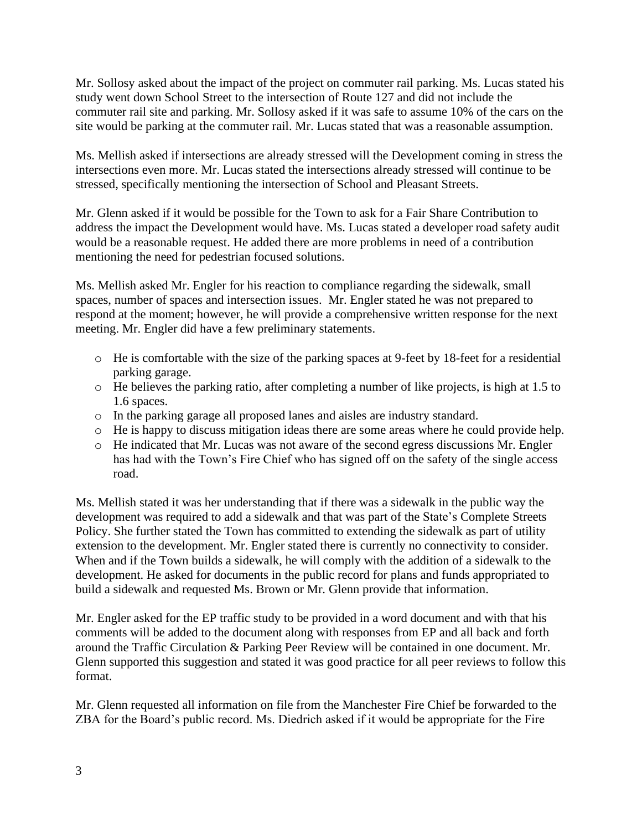Mr. Sollosy asked about the impact of the project on commuter rail parking. Ms. Lucas stated his study went down School Street to the intersection of Route 127 and did not include the commuter rail site and parking. Mr. Sollosy asked if it was safe to assume 10% of the cars on the site would be parking at the commuter rail. Mr. Lucas stated that was a reasonable assumption.

Ms. Mellish asked if intersections are already stressed will the Development coming in stress the intersections even more. Mr. Lucas stated the intersections already stressed will continue to be stressed, specifically mentioning the intersection of School and Pleasant Streets.

Mr. Glenn asked if it would be possible for the Town to ask for a Fair Share Contribution to address the impact the Development would have. Ms. Lucas stated a developer road safety audit would be a reasonable request. He added there are more problems in need of a contribution mentioning the need for pedestrian focused solutions.

Ms. Mellish asked Mr. Engler for his reaction to compliance regarding the sidewalk, small spaces, number of spaces and intersection issues. Mr. Engler stated he was not prepared to respond at the moment; however, he will provide a comprehensive written response for the next meeting. Mr. Engler did have a few preliminary statements.

- o He is comfortable with the size of the parking spaces at 9-feet by 18-feet for a residential parking garage.
- o He believes the parking ratio, after completing a number of like projects, is high at 1.5 to 1.6 spaces.
- o In the parking garage all proposed lanes and aisles are industry standard.
- o He is happy to discuss mitigation ideas there are some areas where he could provide help.
- o He indicated that Mr. Lucas was not aware of the second egress discussions Mr. Engler has had with the Town's Fire Chief who has signed off on the safety of the single access road.

Ms. Mellish stated it was her understanding that if there was a sidewalk in the public way the development was required to add a sidewalk and that was part of the State's Complete Streets Policy. She further stated the Town has committed to extending the sidewalk as part of utility extension to the development. Mr. Engler stated there is currently no connectivity to consider. When and if the Town builds a sidewalk, he will comply with the addition of a sidewalk to the development. He asked for documents in the public record for plans and funds appropriated to build a sidewalk and requested Ms. Brown or Mr. Glenn provide that information.

Mr. Engler asked for the EP traffic study to be provided in a word document and with that his comments will be added to the document along with responses from EP and all back and forth around the Traffic Circulation & Parking Peer Review will be contained in one document. Mr. Glenn supported this suggestion and stated it was good practice for all peer reviews to follow this format.

Mr. Glenn requested all information on file from the Manchester Fire Chief be forwarded to the ZBA for the Board's public record. Ms. Diedrich asked if it would be appropriate for the Fire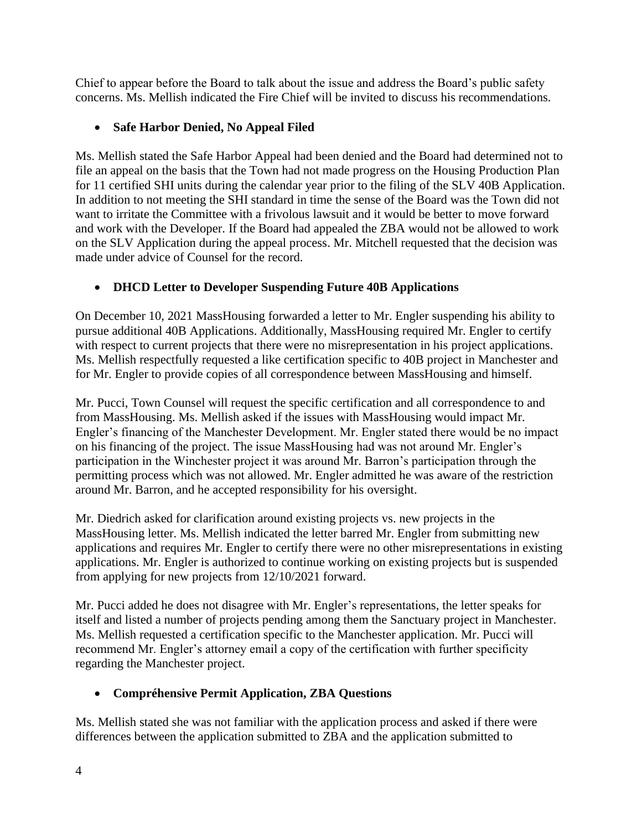Chief to appear before the Board to talk about the issue and address the Board's public safety concerns. Ms. Mellish indicated the Fire Chief will be invited to discuss his recommendations.

## • **Safe Harbor Denied, No Appeal Filed**

Ms. Mellish stated the Safe Harbor Appeal had been denied and the Board had determined not to file an appeal on the basis that the Town had not made progress on the Housing Production Plan for 11 certified SHI units during the calendar year prior to the filing of the SLV 40B Application. In addition to not meeting the SHI standard in time the sense of the Board was the Town did not want to irritate the Committee with a frivolous lawsuit and it would be better to move forward and work with the Developer. If the Board had appealed the ZBA would not be allowed to work on the SLV Application during the appeal process. Mr. Mitchell requested that the decision was made under advice of Counsel for the record.

# • **DHCD Letter to Developer Suspending Future 40B Applications**

On December 10, 2021 MassHousing forwarded a letter to Mr. Engler suspending his ability to pursue additional 40B Applications. Additionally, MassHousing required Mr. Engler to certify with respect to current projects that there were no misrepresentation in his project applications. Ms. Mellish respectfully requested a like certification specific to 40B project in Manchester and for Mr. Engler to provide copies of all correspondence between MassHousing and himself.

Mr. Pucci, Town Counsel will request the specific certification and all correspondence to and from MassHousing. Ms. Mellish asked if the issues with MassHousing would impact Mr. Engler's financing of the Manchester Development. Mr. Engler stated there would be no impact on his financing of the project. The issue MassHousing had was not around Mr. Engler's participation in the Winchester project it was around Mr. Barron's participation through the permitting process which was not allowed. Mr. Engler admitted he was aware of the restriction around Mr. Barron, and he accepted responsibility for his oversight.

Mr. Diedrich asked for clarification around existing projects vs. new projects in the MassHousing letter. Ms. Mellish indicated the letter barred Mr. Engler from submitting new applications and requires Mr. Engler to certify there were no other misrepresentations in existing applications. Mr. Engler is authorized to continue working on existing projects but is suspended from applying for new projects from 12/10/2021 forward.

Mr. Pucci added he does not disagree with Mr. Engler's representations, the letter speaks for itself and listed a number of projects pending among them the Sanctuary project in Manchester. Ms. Mellish requested a certification specific to the Manchester application. Mr. Pucci will recommend Mr. Engler's attorney email a copy of the certification with further specificity regarding the Manchester project.

# • **Compréhensive Permit Application, ZBA Questions**

Ms. Mellish stated she was not familiar with the application process and asked if there were differences between the application submitted to ZBA and the application submitted to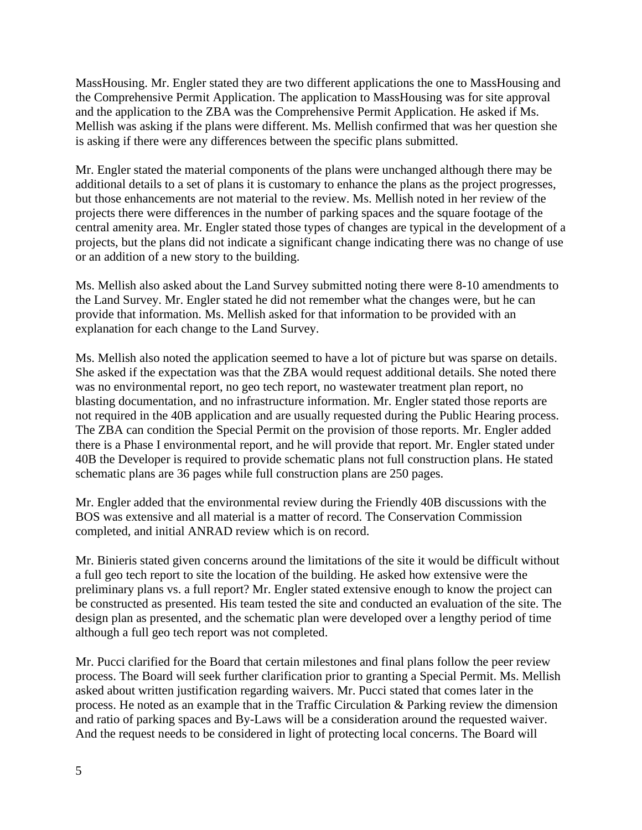MassHousing. Mr. Engler stated they are two different applications the one to MassHousing and the Comprehensive Permit Application. The application to MassHousing was for site approval and the application to the ZBA was the Comprehensive Permit Application. He asked if Ms. Mellish was asking if the plans were different. Ms. Mellish confirmed that was her question she is asking if there were any differences between the specific plans submitted.

Mr. Engler stated the material components of the plans were unchanged although there may be additional details to a set of plans it is customary to enhance the plans as the project progresses, but those enhancements are not material to the review. Ms. Mellish noted in her review of the projects there were differences in the number of parking spaces and the square footage of the central amenity area. Mr. Engler stated those types of changes are typical in the development of a projects, but the plans did not indicate a significant change indicating there was no change of use or an addition of a new story to the building.

Ms. Mellish also asked about the Land Survey submitted noting there were 8-10 amendments to the Land Survey. Mr. Engler stated he did not remember what the changes were, but he can provide that information. Ms. Mellish asked for that information to be provided with an explanation for each change to the Land Survey.

Ms. Mellish also noted the application seemed to have a lot of picture but was sparse on details. She asked if the expectation was that the ZBA would request additional details. She noted there was no environmental report, no geo tech report, no wastewater treatment plan report, no blasting documentation, and no infrastructure information. Mr. Engler stated those reports are not required in the 40B application and are usually requested during the Public Hearing process. The ZBA can condition the Special Permit on the provision of those reports. Mr. Engler added there is a Phase I environmental report, and he will provide that report. Mr. Engler stated under 40B the Developer is required to provide schematic plans not full construction plans. He stated schematic plans are 36 pages while full construction plans are 250 pages.

Mr. Engler added that the environmental review during the Friendly 40B discussions with the BOS was extensive and all material is a matter of record. The Conservation Commission completed, and initial ANRAD review which is on record.

Mr. Binieris stated given concerns around the limitations of the site it would be difficult without a full geo tech report to site the location of the building. He asked how extensive were the preliminary plans vs. a full report? Mr. Engler stated extensive enough to know the project can be constructed as presented. His team tested the site and conducted an evaluation of the site. The design plan as presented, and the schematic plan were developed over a lengthy period of time although a full geo tech report was not completed.

Mr. Pucci clarified for the Board that certain milestones and final plans follow the peer review process. The Board will seek further clarification prior to granting a Special Permit. Ms. Mellish asked about written justification regarding waivers. Mr. Pucci stated that comes later in the process. He noted as an example that in the Traffic Circulation & Parking review the dimension and ratio of parking spaces and By-Laws will be a consideration around the requested waiver. And the request needs to be considered in light of protecting local concerns. The Board will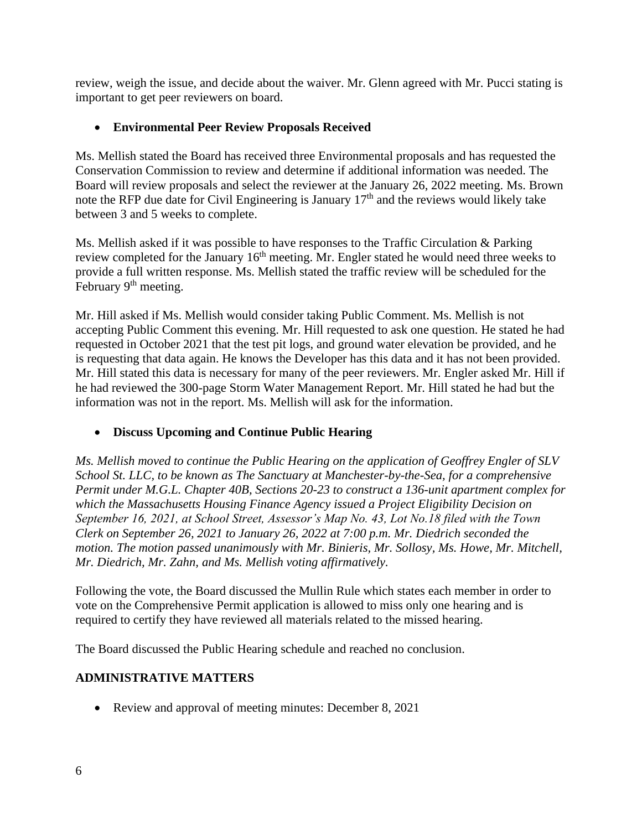review, weigh the issue, and decide about the waiver. Mr. Glenn agreed with Mr. Pucci stating is important to get peer reviewers on board.

## • **Environmental Peer Review Proposals Received**

Ms. Mellish stated the Board has received three Environmental proposals and has requested the Conservation Commission to review and determine if additional information was needed. The Board will review proposals and select the reviewer at the January 26, 2022 meeting. Ms. Brown note the RFP due date for Civil Engineering is January 17th and the reviews would likely take between 3 and 5 weeks to complete.

Ms. Mellish asked if it was possible to have responses to the Traffic Circulation & Parking review completed for the January  $16<sup>th</sup>$  meeting. Mr. Engler stated he would need three weeks to provide a full written response. Ms. Mellish stated the traffic review will be scheduled for the February 9<sup>th</sup> meeting.

Mr. Hill asked if Ms. Mellish would consider taking Public Comment. Ms. Mellish is not accepting Public Comment this evening. Mr. Hill requested to ask one question. He stated he had requested in October 2021 that the test pit logs, and ground water elevation be provided, and he is requesting that data again. He knows the Developer has this data and it has not been provided. Mr. Hill stated this data is necessary for many of the peer reviewers. Mr. Engler asked Mr. Hill if he had reviewed the 300-page Storm Water Management Report. Mr. Hill stated he had but the information was not in the report. Ms. Mellish will ask for the information.

## • **Discuss Upcoming and Continue Public Hearing**

*Ms. Mellish moved to continue the Public Hearing on the application of Geoffrey Engler of SLV School St. LLC, to be known as The Sanctuary at Manchester-by-the-Sea, for a comprehensive Permit under M.G.L. Chapter 40B, Sections 20-23 to construct a 136-unit apartment complex for which the Massachusetts Housing Finance Agency issued a Project Eligibility Decision on September 16, 2021, at School Street, Assessor's Map No. 43, Lot No.18 filed with the Town Clerk on September 26, 2021 to January 26, 2022 at 7:00 p.m. Mr. Diedrich seconded the motion. The motion passed unanimously with Mr. Binieris, Mr. Sollosy, Ms. Howe, Mr. Mitchell, Mr. Diedrich, Mr. Zahn, and Ms. Mellish voting affirmatively.*

Following the vote, the Board discussed the Mullin Rule which states each member in order to vote on the Comprehensive Permit application is allowed to miss only one hearing and is required to certify they have reviewed all materials related to the missed hearing.

The Board discussed the Public Hearing schedule and reached no conclusion.

#### **ADMINISTRATIVE MATTERS**

• Review and approval of meeting minutes: December 8, 2021